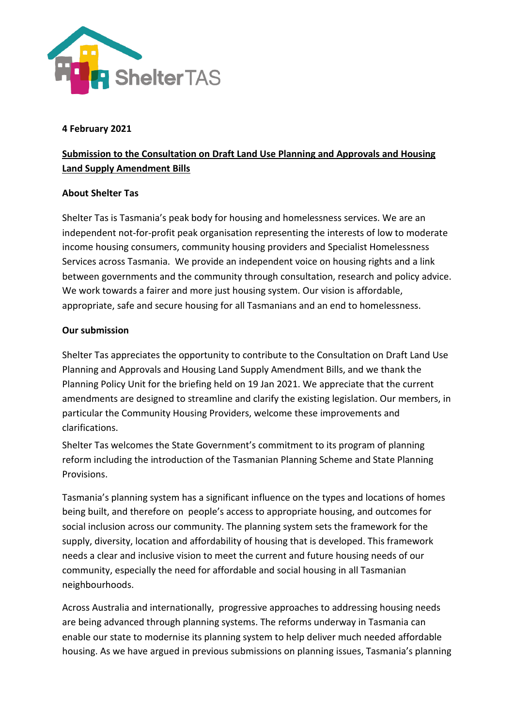

## **4 February 2021**

## **Submission to the Consultation on Draft Land Use Planning and Approvals and Housing Land Supply Amendment Bills**

## **About Shelter Tas**

Shelter Tas is Tasmania's peak body for housing and homelessness services. We are an independent not-for-profit peak organisation representing the interests of low to moderate income housing consumers, community housing providers and Specialist Homelessness Services across Tasmania. We provide an independent voice on housing rights and a link between governments and the community through consultation, research and policy advice. We work towards a fairer and more just housing system. Our vision is affordable, appropriate, safe and secure housing for all Tasmanians and an end to homelessness.

## **Our submission**

Shelter Tas appreciates the opportunity to contribute to the Consultation on Draft Land Use Planning and Approvals and Housing Land Supply Amendment Bills, and we thank the Planning Policy Unit for the briefing held on 19 Jan 2021. We appreciate that the current amendments are designed to streamline and clarify the existing legislation. Our members, in particular the Community Housing Providers, welcome these improvements and clarifications.

Shelter Tas welcomes the State Government's commitment to its program of planning reform including the introduction of the Tasmanian Planning Scheme and State Planning Provisions.

Tasmania's planning system has a significant influence on the types and locations of homes being built, and therefore on people's access to appropriate housing, and outcomes for social inclusion across our community. The planning system sets the framework for the supply, diversity, location and affordability of housing that is developed. This framework needs a clear and inclusive vision to meet the current and future housing needs of our community, especially the need for affordable and social housing in all Tasmanian neighbourhoods.

Across Australia and internationally, progressive approaches to addressing housing needs are being advanced through planning systems. The reforms underway in Tasmania can enable our state to modernise its planning system to help deliver much needed affordable housing. As we have argued in previous submissions on planning issues, Tasmania's planning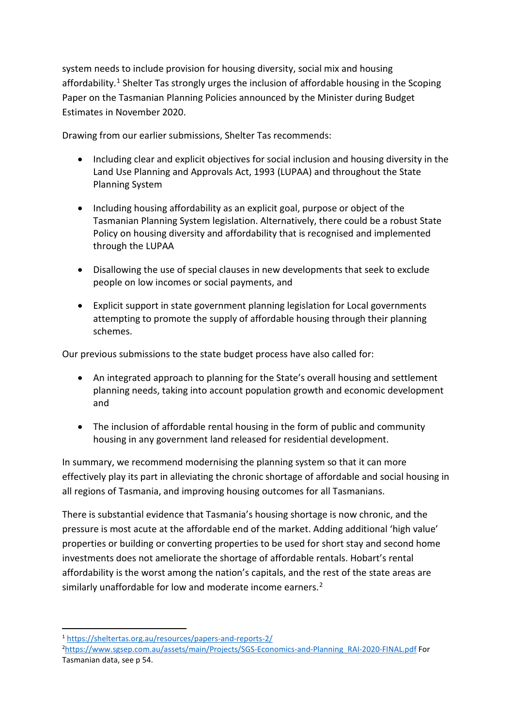system needs to include provision for housing diversity, social mix and housing affordability.<sup>[1](#page-1-0)</sup> Shelter Tas strongly urges the inclusion of affordable housing in the Scoping Paper on the Tasmanian Planning Policies announced by the Minister during Budget Estimates in November 2020.

Drawing from our earlier submissions, Shelter Tas recommends:

- Including clear and explicit objectives for social inclusion and housing diversity in the Land Use Planning and Approvals Act, 1993 (LUPAA) and throughout the State Planning System
- Including housing affordability as an explicit goal, purpose or object of the Tasmanian Planning System legislation. Alternatively, there could be a robust State Policy on housing diversity and affordability that is recognised and implemented through the LUPAA
- Disallowing the use of special clauses in new developments that seek to exclude people on low incomes or social payments, and
- Explicit support in state government planning legislation for Local governments attempting to promote the supply of affordable housing through their planning schemes.

Our previous submissions to the state budget process have also called for:

- An integrated approach to planning for the State's overall housing and settlement planning needs, taking into account population growth and economic development and
- The inclusion of affordable rental housing in the form of public and community housing in any government land released for residential development.

In summary, we recommend modernising the planning system so that it can more effectively play its part in alleviating the chronic shortage of affordable and social housing in all regions of Tasmania, and improving housing outcomes for all Tasmanians.

There is substantial evidence that Tasmania's housing shortage is now chronic, and the pressure is most acute at the affordable end of the market. Adding additional 'high value' properties or building or converting properties to be used for short stay and second home investments does not ameliorate the shortage of affordable rentals. Hobart's rental affordability is the worst among the nation's capitals, and the rest of the state areas are similarly unaffordable for low and moderate income earners.<sup>[2](#page-1-1)</sup>

<span id="page-1-0"></span><sup>1</sup> <https://sheltertas.org.au/resources/papers-and-reports-2/>2

<span id="page-1-1"></span>[https://www.sgsep.com.au/assets/main/Projects/SGS-Economics-and-Planning\\_RAI-2020-FINAL.pdf](https://www.sgsep.com.au/assets/main/Projects/SGS-Economics-and-Planning_RAI-2020-FINAL.pdf) For Tasmanian data, see p 54.